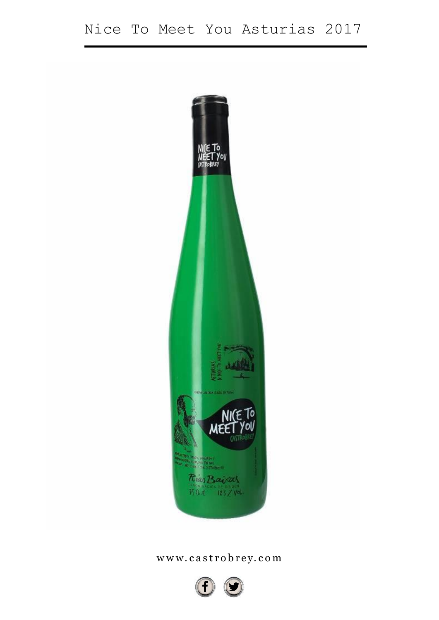

# www.castrobrey.com

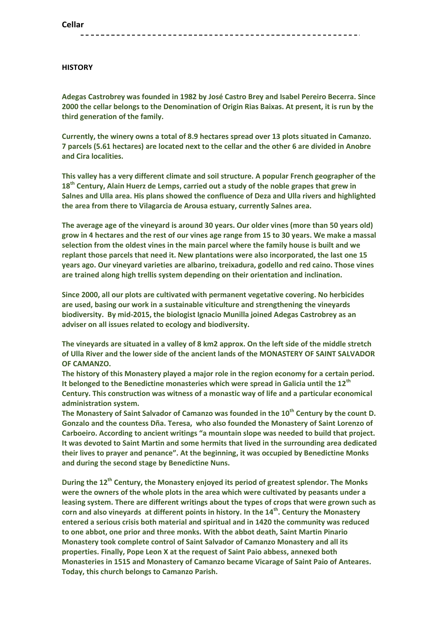## **HISTORY**

**Adegas Castrobrey was founded in 1982 by José Castro Brey and Isabel Pereiro Becerra. Since 2000 the cellar belongs to the Denomination of Origin Rias Baixas. At present, it is run by the third generation of the family.**

**Currently, the winery owns a total of 8.9 hectares spread over 13 plots situated in Camanzo. 7 parcels (5.61 hectares) are located next to the cellar and the other 6 are divided in Anobre and Cira localities.**

**This valley has a very different climate and soil structure. A popular French geographer of the 18th Century, Alain Huerz de Lemps, carried out a study of the noble grapes that grew in Salnes and Ulla area. His plans showed the confluence of Deza and Ulla rivers and highlighted the area from there to Vilagarcia de Arousa estuary, currently Salnes area.**

**The average age of the vineyard is around 30 years. Our older vines (more than 50 years old) grow in 4 hectares and the rest of our vines age range from 15 to 30 years. We make a massal selection from the oldest vines in the main parcel where the family house is built and we replant those parcels that need it. New plantations were also incorporated, the last one 15 years ago. Our vineyard varieties are albarino, treixadura, godello and red caino. Those vines are trained along high trellis system depending on their orientation and inclination.**

**Since 2000, all our plots are cultivated with permanent vegetative covering. No herbicides are used, basing our work in a sustainable viticulture and strengthening the vineyards biodiversity. By mid-2015, the biologist Ignacio Munilla joined Adegas Castrobrey as an adviser on all issues related to ecology and biodiversity.**

**The vineyards are situated in a valley of 8 km2 approx. On the left side of the middle stretch of Ulla River and the lower side of the ancient lands of the MONASTERY OF SAINT SALVADOR OF CAMANZO.**

**The history of this Monastery played a major role in the region economy for a certain period. It belonged to the Benedictine monasteries which were spread in Galicia until the 12th Century. This construction was witness of a monastic way of life and a particular economical administration system.**

**The Monastery of Saint Salvador of Camanzo was founded in the 10th Century by the count D. Gonzalo and the countess Dña. Teresa, who also founded the Monastery of Saint Lorenzo of Carboeiro. According to ancient writings "a mountain slope was needed to build that project. It was devoted to Saint Martin and some hermits that lived in the surrounding area dedicated their lives to prayer and penance". At the beginning, it was occupied by Benedictine Monks and during the second stage by Benedictine Nuns.**

**During the 12th Century, the Monastery enjoyed its period of greatest splendor. The Monks were the owners of the whole plots in the area which were cultivated by peasants under a leasing system. There are different writings about the types of crops that were grown such as corn and also vineyards at different points in history. In the 14th . Century the Monastery entered a serious crisis both material and spiritual and in 1420 the community was reduced to one abbot, one prior and three monks. With the abbot death, Saint Martin Pinario Monastery took complete control of Saint Salvador of Camanzo Monastery and all its properties. Finally, Pope Leon X at the request of Saint Paio abbess, annexed both Monasteries in 1515 and Monastery of Camanzo became Vicarage of Saint Paio of Anteares. Today, this church belongs to Camanzo Parish.**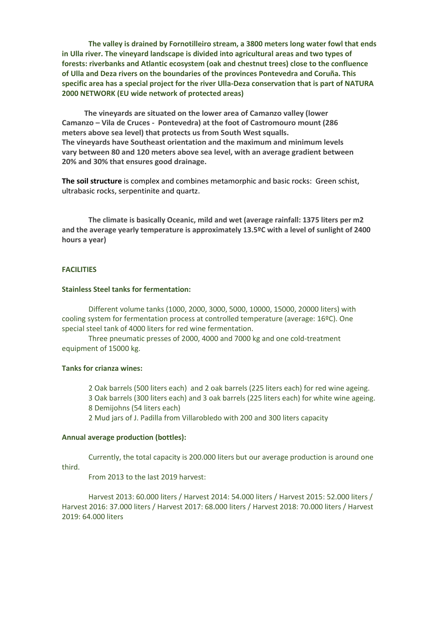**The valley is drained by Fornotilleiro stream, a 3800 meters long water fowl that ends in Ulla river. The vineyard landscape is divided into agricultural areas and two types of forests: riverbanks and Atlantic ecosystem (oak and chestnut trees) close to the confluence of Ulla and Deza rivers on the boundaries of the provinces Pontevedra and Coruña. This specific area has a special project for the river Ulla-Deza conservation that is part of NATURA 2000 NETWORK (EU wide network of protected areas)**

 **The vineyards are situated on the lower area of Camanzo valley (lower Camanzo – Vila de Cruces - Pontevedra) at the foot of Castromouro mount (286 meters above sea level) that protects us from South West squalls. The vineyards have Southeast orientation and the maximum and minimum levels vary between 80 and 120 meters above sea level, with an average gradient between 20% and 30% that ensures good drainage.** 

**The soil structure** is complex and combines metamorphic and basic rocks: Green schist, ultrabasic rocks, serpentinite and quartz.

**The climate is basically Oceanic, mild and wet (average rainfall: 1375 liters per m2 and the average yearly temperature is approximately 13.5ºC with a level of sunlight of 2400 hours a year)**

## **FACILITIES**

### **Stainless Steel tanks for fermentation:**

Different volume tanks (1000, 2000, 3000, 5000, 10000, 15000, 20000 liters) with cooling system for fermentation process at controlled temperature (average: 16ºC). One special steel tank of 4000 liters for red wine fermentation.

Three pneumatic presses of 2000, 4000 and 7000 kg and one cold-treatment equipment of 15000 kg.

## **Tanks for crianza wines:**

2 Oak barrels (500 liters each) and 2 oak barrels (225 liters each) for red wine ageing. 3 Oak barrels (300 liters each) and 3 oak barrels (225 liters each) for white wine ageing.

8 Demijohns (54 liters each)

2 Mud jars of J. Padilla from Villarobledo with 200 and 300 liters capacity

#### **Annual average production (bottles):**

Currently, the total capacity is 200.000 liters but our average production is around one third.

From 2013 to the last 2019 harvest:

Harvest 2013: 60.000 liters / Harvest 2014: 54.000 liters / Harvest 2015: 52.000 liters / Harvest 2016: 37.000 liters / Harvest 2017: 68.000 liters / Harvest 2018: 70.000 liters / Harvest 2019: 64.000 liters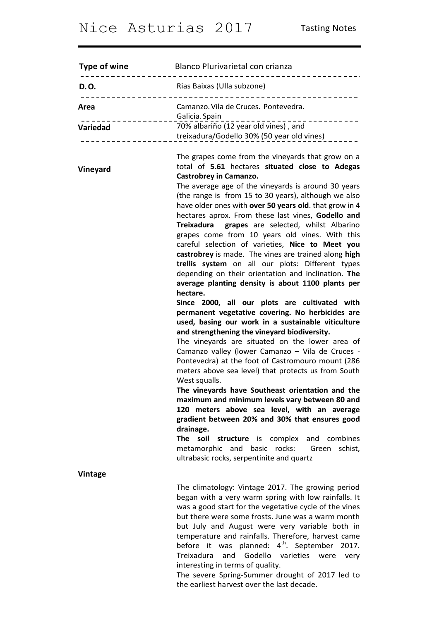| Type of wine                     | Blanco Plurivarietal con crianza                                                                                                                                                                                                                                                                                                                                                                                                                                                                                                                                                                                                                                                                                                                                                                                                                                                                                                                                                                                                                                                                                                                                                                                                                                                                                                                                                                                                                                                                                                                |
|----------------------------------|-------------------------------------------------------------------------------------------------------------------------------------------------------------------------------------------------------------------------------------------------------------------------------------------------------------------------------------------------------------------------------------------------------------------------------------------------------------------------------------------------------------------------------------------------------------------------------------------------------------------------------------------------------------------------------------------------------------------------------------------------------------------------------------------------------------------------------------------------------------------------------------------------------------------------------------------------------------------------------------------------------------------------------------------------------------------------------------------------------------------------------------------------------------------------------------------------------------------------------------------------------------------------------------------------------------------------------------------------------------------------------------------------------------------------------------------------------------------------------------------------------------------------------------------------|
| D.O.                             | Rias Baixas (Ulla subzone)                                                                                                                                                                                                                                                                                                                                                                                                                                                                                                                                                                                                                                                                                                                                                                                                                                                                                                                                                                                                                                                                                                                                                                                                                                                                                                                                                                                                                                                                                                                      |
| Area<br>. <u>.</u> .<br>Variedad | Camanzo. Vila de Cruces. Pontevedra.<br>Galicia. Spain<br>---------------<br>70% albariño (12 year old vines), and<br>treixadura/Godello 30% (50 year old vines)                                                                                                                                                                                                                                                                                                                                                                                                                                                                                                                                                                                                                                                                                                                                                                                                                                                                                                                                                                                                                                                                                                                                                                                                                                                                                                                                                                                |
| Vineyard                         | The grapes come from the vineyards that grow on a<br>total of 5.61 hectares situated close to Adegas<br><b>Castrobrey in Camanzo.</b><br>The average age of the vineyards is around 30 years<br>(the range is from 15 to 30 years), although we also<br>have older ones with over 50 years old. that grow in 4<br>hectares aprox. From these last vines, Godello and<br>Treixadura grapes are selected, whilst Albarino<br>grapes come from 10 years old vines. With this<br>careful selection of varieties, Nice to Meet you<br>castrobrey is made. The vines are trained along high<br>trellis system on all our plots: Different types<br>depending on their orientation and inclination. The<br>average planting density is about 1100 plants per<br>hectare.<br>Since 2000, all our plots are cultivated with<br>permanent vegetative covering. No herbicides are<br>used, basing our work in a sustainable viticulture<br>and strengthening the vineyard biodiversity.<br>The vineyards are situated on the lower area of<br>Camanzo valley (lower Camanzo - Vila de Cruces -<br>Pontevedra) at the foot of Castromouro mount (286<br>meters above sea level) that protects us from South<br>West squalls.<br>The vineyards have Southeast orientation and the<br>maximum and minimum levels vary between 80 and<br>120 meters above sea level, with an average<br>gradient between 20% and 30% that ensures good<br>drainage.<br>The soil<br>structure is complex<br>and<br>combines<br>metamorphic and basic rocks:<br>schist,<br>Green |
| <b>Vintage</b>                   | ultrabasic rocks, serpentinite and quartz                                                                                                                                                                                                                                                                                                                                                                                                                                                                                                                                                                                                                                                                                                                                                                                                                                                                                                                                                                                                                                                                                                                                                                                                                                                                                                                                                                                                                                                                                                       |
|                                  | The climatology: Vintage 2017. The growing period<br>began with a very warm spring with low rainfalls. It<br>was a good start for the vegetative cycle of the vines<br>but there were some frosts. June was a warm month<br>but July and August were very variable both in<br>temperature and rainfalls. Therefore, harvest came<br>before it was planned: $4th$ . September 2017.<br>Godello<br>varieties<br>Treixadura<br>and<br>were<br>very<br>interesting in terms of quality.<br>The severe Spring-Summer drought of 2017 led to<br>the earliest harvest over the last decade.                                                                                                                                                                                                                                                                                                                                                                                                                                                                                                                                                                                                                                                                                                                                                                                                                                                                                                                                                            |